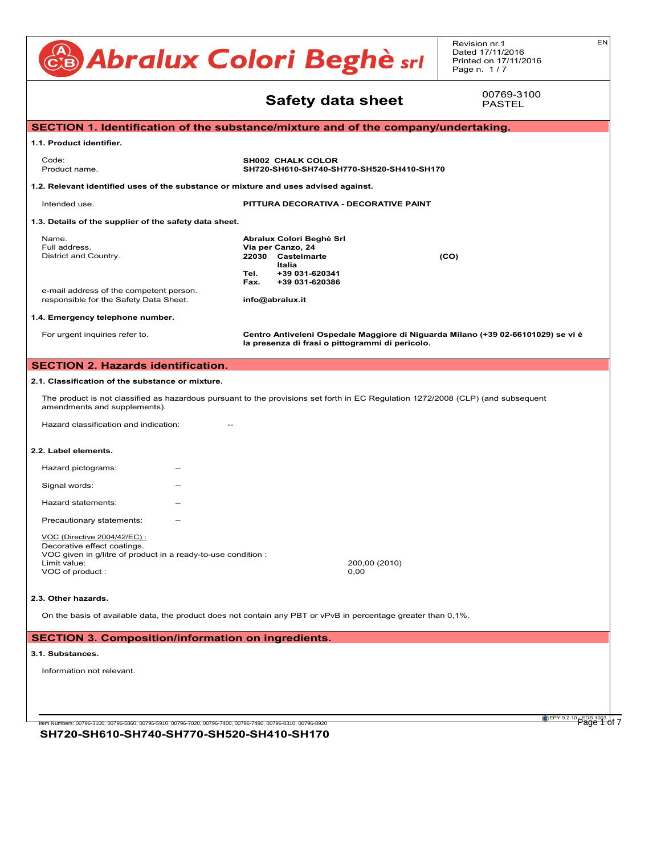#### CB Abralux Colori Beghè sri Revision nr.1 Dated 17/11/2016 Printed on 17/11/2016 Page n. 1/7 EN **Safety data sheet** SECTION 1. Identification of the substance/mixture and of the company/undertaking. **1.1. Product identifier. Code: SH002 CHALK COLOR**<br>**SH002 CHALK COLOR** Product name. **SH720-SH610-SH740-SH770-SH520-SH410-SH70** 1.2. Relevant identified uses of the substance or mixture and uses advised against. **Intended use. EXECUTE:** Ringe contains the set of the shower intended use. The shower intended use. The shower intended use. The shower intended use. The shower intended use. The shower intended use of the shower intend 1.3. Details of the supplier of the safety data sheet. **Mame. Abralux Colori Beghè Srl Abralux Colori Beghè Srl** Full address. **Via per Canzo, 24** District and Country. **22030** Castelmarte **(CO)**<br> **Partion** on the product are unknown. **Italia Tel. +39 031-620341** For symptoms and effects caused by the contained substances, see chap. 11. **15.1. Safety, health and environmental regulations/legislation specific for the substance or mixture. Fax. +39 031-620386 Fax.** +39 031-620386<br>e-mail address of the competent person. e-mail address of the competent person.<br>responsible for the Safety Data Sheet. **info@abralux.it** 1.4. Emergency telephone number. For urgent inquiries refer to. **Centro Antiveleni Ospedale Maggiore di Niguarda Milano (+39 02-66101029) se vi è** For digent inquiries refer to:<br>la presenza di frasi o pittogrammi di pericolo. **SECTION 2. Hazards identification.**<br>Extinguishing substances are: carbon dioxide and chemical powder. For product loss or leakage that has not cau 2.1. Classification of the substance or mixture. The product is not classified as hazardous pursuant to the provisions set forth in EC Regulation 1272/2008 (CLP) (and subsequent amendments and supplements). Hazard classification and indication: The The The Saussification and indication: 2.2. Label elements. Hazard pictograms: The producer is relieved from any liability arising from any liability arising from improper uses. Signal words:  $\frac{1}{2}$  is safe to do solution  $\frac{1}{2}$  is safe to do so. Hazard statements: The coatings of the considered special non-hazardous waste. Precautionary statements: **11.1. Information on the effect on the effects** VOC (Directive 2004/42/EC) : <u>The contains assessment in the mixture and thresholder</u><br>Decorative effect coatings. Decorative effect coatings.<br>VOC given in g/litre of product in a ready-to-use condition : 200,00 (2010)<br>0,00 VOC of product : and the contract of the contract of the contract of the contract of the contract of the contract of the contract of the contract of the contract of the contract of the contract of the contract of the contr 2.3. Other hazards. **SECTION 3. Composition/information on ingredients.** ... / >>  $E$ CTION 1. Identification of the substance/mixture and of the company/undertaking.  $\blacksquare$ **4.1. Description of first aid measures.** 1.2. Relevant identified uses of the substance or mixture and uses advised against. Interided dse.  $\blacksquare$  explicitly as  $\blacksquare$  and  $\blacksquare$  and  $\blacksquare$  and  $\blacksquare$  induce  $\blacksquare$  induce  $\blacksquare$  induce  $\blacksquare$  induce  $\blacksquare$  induce  $\blacksquare$  induce  $\blacksquare$  induce  $\blacksquare$  induce  $\blacksquare$  induce  $\blacksquare$  induce  $\blacksquare$  induc INHALATION: Get medical advice/attention immediately. Remove victim to fresh air, away from the accident scene. If the subject stops **7.3. Specific end use(s).**Information not available. CALCIUM CARBONATE **SECTION 12. Ecological information.** Information not relevant. **4.2. Most important symptoms and delayed.**<br>
22030 **Casteln**<br>
Casteln **5.1. Extinguishing media.**  $EC$ HON 2. Hazards identification.  $\blacksquare$ . Classification of the s  $T$ darge quantities of the product are involved in a fire, the products of the products. Do not breather combustion products. Do not be a first of the combustion products. Do not be a first of the combustion products. The  $I$  the cool the containers to prevent the risk of explosions (product decomposition and excess pressure) and excess pressure  $I$  $t$  substances potentially has  $\frac{1}{2}$  for  $\frac{1}{2}$  fire prevention gear. Remove all containers containers containing the prevention gear. Remove all containers containing the move all containers containing the move al  $S$ Sigrial words.  $\overline{f}$  $\Box$ exed etching into  $\Box$ nazaru statements. The contained air breathing and breathing air breathing and breathing and the compression o **SECTION 6. Accidental release measures.** Limit value:<br>  $\frac{1}{2}$ CO<sub>2</sub> f<sub>reez</sub>ing point. any contamination of skin, eyes and personal clothing. These indications apply for both processing staff and those in **SECTION 7. Handling and storage. 1.1. Product identifier.**<br>1.1. Product identifier. Ensure that there is an adequate earthing system for the equipment and personnel. Avoid contact with eyes and skin. Do not breathe **7.20-300.** Found incompatibility incompatibility incompatibility incompatibility incompatibility in the set of  $\mathcal{L}$ oes not meet the classification criteria for this hazard classification criteria for the classification criter<br>Does not the classification contract contract contract contract contract contract contract contract contract c HAND PROTECTION **10.4. Conditions to avoid.** For urgent inquiries refer to.<br> **12.3. Biography of the European Parliament Centro Antiveleni** SKIN PROTECTION  $F$  $F$  $F$  $F$  $F$  $F$  $F$  $F$  $F$ SECTION 2. Hazards identification. Close if is a fit the exhaust of the set of the set of the set of the set of the set of the set of the set of the set of the set of the set of the set of the set of the set of the set of the set of the set of the set of th 2.1. Classification of the substance or mixture.<br>**2.1. Classification of the substance or** mixture. The product is not classified as hazardous pursuant to the provisions set forth in EC Regulation 1272/2008 (CLP) (and subsequent Hazard classification and indication: The provident and any case limited.  $t$  distribution and indication.  $t$  is the corresponding TLV-TWA and in the corresponding TLV-TWA and in the case of and in the case of and in the case of and in the case of and in the case of and in the case of and in t  $\alpha$  in choice choice with standard EN 1380. For a correct choice of respiratory protection device, see standard EN 529. The emission generation generation by manufacturing processes, including the checked to ensurecompliance with environmental standards. The checked to ensurecompliance with environmental standards. **SECTION 9. Physical and chemical properties.** Colour BIANCO + TINTE A CARTELLA A CARTELLA A CARTELLA A CARTELLA A CARTELLA A CARTELLA A CARTELLA A CARTELLA Boiling range. Not available. **9. Physical and chemical properties.** ... / >> Explosive properties Not available. <u>Oxidising properties Not available. Note available to properties Not available</u> **SECTION 1. Iden**  $V(\mathcal{L}^{\text{max}})$  : 0,10 g/litre.  $\mathcal{L}^{\text{max}}$  : 0,10 g/litre.  $\mathcal{L}^{\text{max}}$ **SECTION 10. SECTION 10. SECTION 10. SECTION 10. SPECIAL PRECAUTED EXPOSURE. 14.7. Intended use. 14.7. Transport in the ITTURA DECORATIVA - DECORATIVE OF ANNEX II OF MARPOR ITTURA DECORATIVE** Decomposes at temperatures above 800°C/1472°F. the product is stable in the product is stable in the product is stable in the stable in the storage.<br>The product is stable in the storage. The storage is storage. The storage in the storage. The storage is stora SODIUM HYDROXIDE I SODIUM HYDROXIDE I SODIUM HYDROXIDE I SODIUM HYDROXIDE I SODIUM HYDROXIDE I SODIUM HYDROXID **Signal words.** The contract in the second intervals of  $\mathbb{R}^n$ voc given in grilde of product in a ready-to-dse condition .<br>Limit value: Not classified (no significant component). Limituding the mixture: Not component component component component component component component component compo<br>VOC of the mixture:  $\overline{C}$  of product. **11. Toxicological information.** ... / >> Does not meet the classification criteria for this hazard class. <u>Representative Toxic Toxic Toxic Toxic Toxic Toxic Toxic Toxic Toxic Toxic Toxic Toxic Toxic Toxic Toxic Toxic </u> **ECTION 1. Identification of the substance** Nusties. Australian to good working product according to good working product and product reach waterways or p<br>Information the product reach waterways or product reach waterways or product reach waterways or product reach 1.4. Emergency telephone number. <u>-</u><br>- Classification of the substance or mix . Label elements.<br>Notation not be regarded as a guarantee on any specific product product product product product product produc **13.1. Words.**  $D$  must be performed through an authorised was through an authorised with national and local regulations. The management  $\frac{1}{2}$ Contaminated packaging must be recovered or disposed of in compliance with national waste management regulations. **15.2. Chemical safety assessment.** The product is not derived provisions of the Code of International Carrier provisions of the Code of International Carrier of Dangerous Goods by Rail Carrier of Dangerous Goods by Rail ADR (ADR) and by Rail ADR (ADR) and b **14. Transport information.** ... / >> Not applicable. - OEL: Occupational Exposure Level **Name.**<br>Full address. . Emergency telephone number. Inazaid pictograms.  $\mathbf a$ . Other hazards. European Agreement concerning the carrier of  $\mathbf a$ **16. Other information.** ... / >> ECTION 1. Identification of the substance/mixtu . Product identifier. - Reaching 1907/2006 1907/2007/2007 . Details of the supplier of the safety data sheet.  $\,$ 1. Regulation (EU) 1907/2007/2007/2007/2007/2006 (Reach) of the European Parliament Parliament Parliament Parli 2. Regulation (EC) 1272/2008 (CLP) of the European Parliament Parliament Parliament Parliament Parliament Par e-mail address of the competent person.  $E C T I O N 2 H a z are$ <u>- Chion Z. Hazarus Identification.</u> Provide appointed staff with adequate training on how to use chemical products. 00769-3100 PASTEL

EPY 9.2.10 SDS 1003 of 7

On the basis of available data, the product does not contain any PBT or vPvB in percentage greater than 0,1%.

#### SECTION 3. Composition/information on ingredients. Lower explosive limit. Not available. ECTION 3. Composition/information on ingree Does not meet the classification criteria for this hazard class. RESPIRATORY OR SKIN SENSITISATION. ECTION 3. Compositio

Does not meet the case of the case of the case of the case of the case of the case of the case of the case of the case of the case of the case of the case of the case of the case of the case of the case of the case of the

#### **3.1. Substances.**  $t_{\rm{subtensor}}$ . Substances. Contained material showled material should be disposed of in compliance with the provisions set for value density Not available. **14. Substances.** - Guidellines.<br>Globally Harmonized System of chemicals of chemicals of chemicals of chemicals of chemicals of chemicals of ch

Information not relevant. **6.4. Reference to other sections.**  $\sum_{i=1}^n$ INFORMATION NOT TOIS VALUE.

**SH720-SH610-SH740-SH770-SH520-SH410-SH170** Item Numbers: 00796-3100, 00796-5860, 00796-5910, 00796-7020, 00796-7400, 00796-7490, 00796-8310, 00796-8920 Page 1 of 7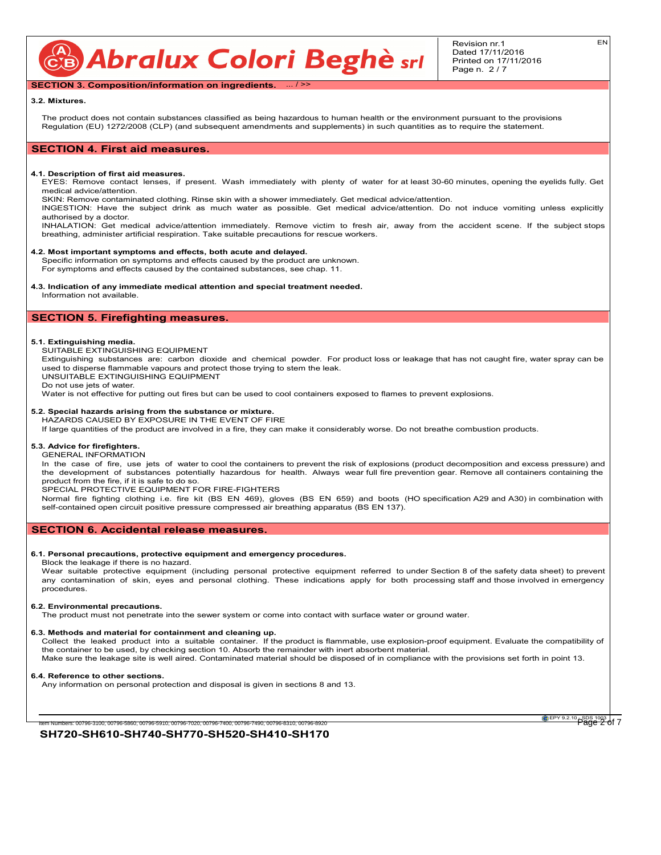CB Abralux Colori Beghè sri

#### **SECTION 3. Composition/information on ingredients.** ... / >>

#### **3.2. Mixtures.**

The product does not contain substances classified as being hazardous to human health or the environment pursuant to the provisions Regulation (EU) 1272/2008 (CLP) (and subsequent amendments and supplements) in such quantities as to require the statement.

### **SECTION 4. First aid measures.**

#### **4.1. Description of first aid measures.**

EYES: Remove contact lenses, if present. Wash immediately with plenty of water for at least 30-60 minutes, opening the eyelids fully. Get medical advice/attention.

SKIN: Remove contaminated clothing. Rinse skin with a shower immediately. Get medical advice/attention.

INGESTION: Have the subject drink as much water as possible. Get medical advice/attention. Do not induce vomiting unless explicitly authorised by a doctor.

INHALATION: Get medical advice/attention immediately. Remove victim to fresh air, away from the accident scene. If the subject stops breathing, administer artificial respiration. Take suitable precautions for rescue workers.

#### **4.2. Most important symptoms and effects, both acute and delayed.**

Specific information on symptoms and effects caused by the product are unknown. For symptoms and effects caused by the contained substances, see chap. 11.

#### **4.3. Indication of any immediate medical attention and special treatment needed.**

Information not available.

#### **SECTION 5. Firefighting measures.**

#### **5.1. Extinguishing media.**

SUITABLE EXTINGUISHING EQUIPMENT

Extinguishing substances are: carbon dioxide and chemical powder. For product loss or leakage that has not caught fire, water spray can be used to disperse flammable vapours and protect those trying to stem the leak.

UNSUITABLE EXTINGUISHING EQUIPMENT

Do not use jets of water.

Water is not effective for putting out fires but can be used to cool containers exposed to flames to prevent explosions.

#### **5.2. Special hazards arising from the substance or mixture.** HAZARDS CAUSED BY EXPOSURE IN THE EVENT OF FIRE

If large quantities of the product are involved in a fire, they can make it considerably worse. Do not breathe combustion products.

#### **5.3. Advice for firefighters.** GENERAL INFORMATION

In the case of fire, use jets of water to cool the containers to prevent the risk of explosions (product decomposition and excess pressure) and the development of substances potentially hazardous for health. Always wear full fire prevention gear. Remove all containers containing the product from the fire, if it is safe to do so.

SPECIAL PROTECTIVE EQUIPMENT FOR FIRE-FIGHTERS

Normal fire fighting clothing i.e. fire kit (BS EN 469), gloves (BS EN 659) and boots (HO specification A29 and A30) in combination with self-contained open circuit positive pressure compressed air breathing apparatus (BS EN 137).

#### **SECTION 6. Accidental release measures.**

#### **6.1. Personal precautions, protective equipment and emergency procedures.**

Block the leakage if there is no hazard.

Wear suitable protective equipment (including personal protective equipment referred to under Section 8 of the safety data sheet) to prevent any contamination of skin, eyes and personal clothing. These indications apply for both processing staff and those involved in emergency procedures.

#### **6.2. Environmental precautions.**

The product must not penetrate into the sewer system or come into contact with surface water or ground water.

#### **6.3. Methods and material for containment and cleaning up.**

Collect the leaked product into a suitable container. If the product is flammable, use explosion-proof equipment. Evaluate the compatibility of the container to be used, by checking section 10. Absorb the remainder with inert absorbent material. Make sure the leakage site is well aired. Contaminated material should be disposed of in compliance with the provisions set forth in point 13.

#### **6.4. Reference to other sections.**

Any information on personal protection and disposal is given in sections 8 and 13.

**SH720-SH610-SH740-SH770-SH520-SH410-SH170** Item Numbers: 00796-3100, 00796-5860, 00796-5910, 00796-7020, 00796-7400, 00796-7490, 00796-8310, 00796-8920 Page 2 of 7

**EPY 9.2.10** SDS 1003 of 7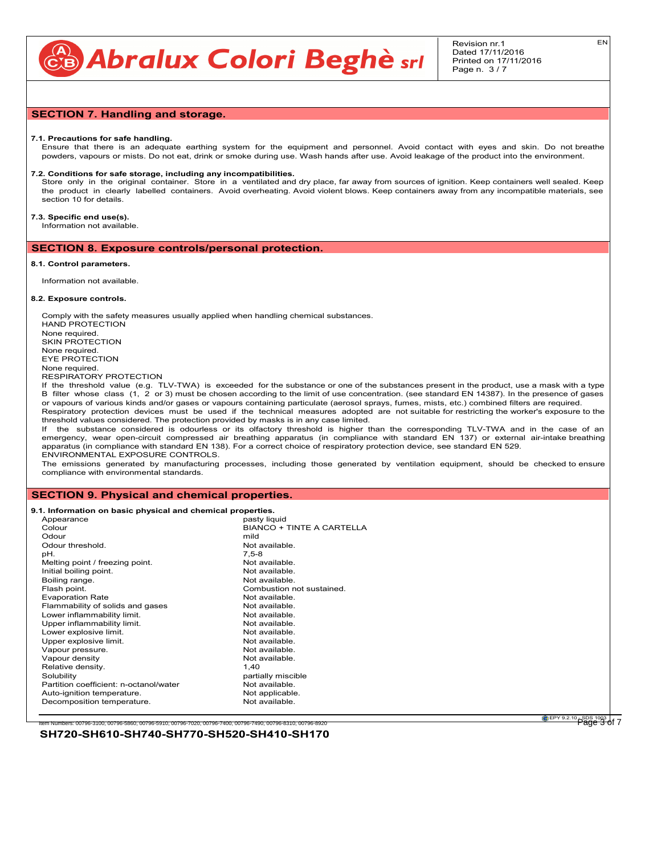

EN

#### **SECTION 7. Handling and storage.**

#### **7.1. Precautions for safe handling.**

Ensure that there is an adequate earthing system for the equipment and personnel. Avoid contact with eyes and skin. Do not breathe powders, vapours or mists. Do not eat, drink or smoke during use. Wash hands after use. Avoid leakage of the product into the environment.

#### **7.2. Conditions for safe storage, including any incompatibilities.**

Store only in the original container. Store in a ventilated and dry place, far away from sources of ignition. Keep containers well sealed. Keep the product in clearly labelled containers. Avoid overheating. Avoid violent blows. Keep containers away from any incompatible materials, see section 10 for details.

## **7.3. Specific end use(s).**

Information not available.

#### **SECTION 8. Exposure controls/personal protection.**

#### **8.1. Control parameters.**

Information not available.

#### **8.2. Exposure controls.**

Comply with the safety measures usually applied when handling chemical substances. HAND PROTECTION None required. SKIN PROTECTION None required. EYE PROTECTION None required. RESPIRATORY PROTECTION If the threshold value (e.g. TLV-TWA) is exceeded for the substance or one of the substances present in the product, use a mask with a type

B filter whose class (1, 2 or 3) must be chosen according to the limit of use concentration. (see standard EN 14387). In the presence of gases or vapours of various kinds and/or gases or vapours containing particulate (aerosol sprays, fumes, mists, etc.) combined filters are required. Respiratory protection devices must be used if the technical measures adopted are not suitable for restricting the worker's exposure to the

threshold values considered. The protection provided by masks is in any case limited. If the substance considered is odourless or its olfactory threshold is higher than the corresponding TLV-TWA and in the case of an emergency, wear open-circuit compressed air breathing apparatus (in compliance with standard EN 137) or external air-intake breathing apparatus (in compliance with standard EN 138). For a correct choice of respiratory protection device, see standard EN 529. ENVIRONMENTAL EXPOSURE CONTROLS.

The emissions generated by manufacturing processes, including those generated by ventilation equipment, should be checked to ensure compliance with environmental standards.

#### **SECTION 9. Physical and chemical properties.**

**9.1. Information on basic physical and chemical properties.**

| Appearance              |                                        | pasty liquid                     |
|-------------------------|----------------------------------------|----------------------------------|
| Colour                  |                                        | <b>BIANCO + TINTE A CARTELLA</b> |
| Odour                   |                                        | mild                             |
| Odour threshold.        |                                        | Not available.                   |
| pH.                     |                                        | $7.5 - 8$                        |
|                         | Melting point / freezing point.        | Not available.                   |
| Initial boiling point.  |                                        | Not available.                   |
| Boiling range.          |                                        | Not available.                   |
| Flash point.            |                                        | Combustion not sustained.        |
| <b>Evaporation Rate</b> |                                        | Not available.                   |
|                         | Flammability of solids and gases       | Not available.                   |
|                         | Lower inflammability limit.            | Not available.                   |
|                         | Upper inflammability limit.            | Not available.                   |
| Lower explosive limit.  |                                        | Not available.                   |
| Upper explosive limit.  |                                        | Not available.                   |
| Vapour pressure.        |                                        | Not available.                   |
| Vapour density          |                                        | Not available.                   |
| Relative density.       |                                        | 1.40                             |
| Solubility              |                                        | partially miscible               |
|                         | Partition coefficient: n-octanol/water | Not available.                   |
|                         | Auto-ignition temperature.             | Not applicable.                  |
|                         | Decomposition temperature.             | Not available.                   |
|                         |                                        |                                  |

**GEPY 9.2.10 - SDS 1003 | 17**<br>Page 3 of 7

**SH720-SH610-SH740-SH770-SH520-SH410-SH170** Item Numbers: 00796-3100, 00796-5860, 00796-5910, 00796-7020, 00796-7400, 00796-7490, 00796-8310, 00796-8920 Page 3 of 7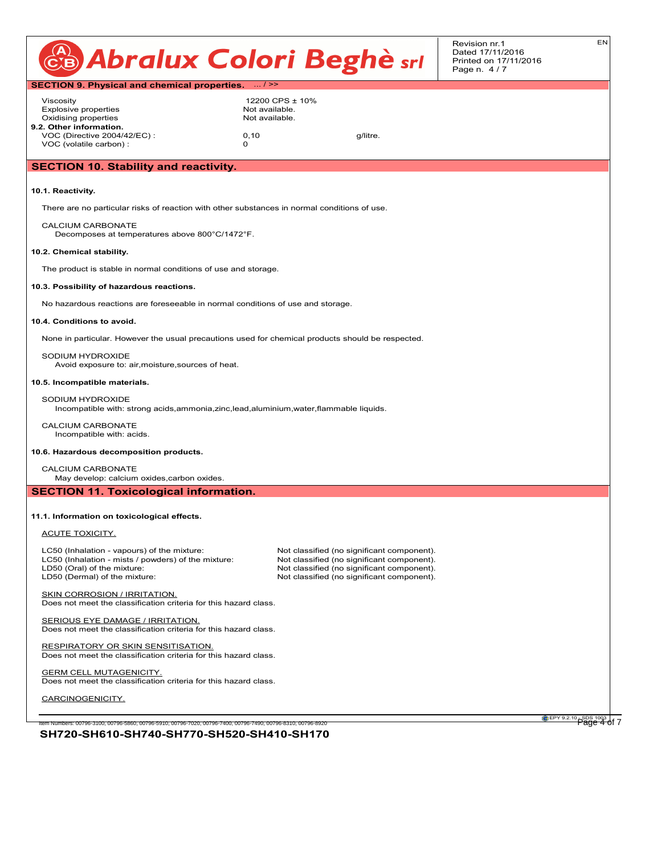| CB Abralux Colori Beghè srl<br>Printed on 17/11/2016<br>Page n. 4/7 |  |  |
|---------------------------------------------------------------------|--|--|
|---------------------------------------------------------------------|--|--|

EN

|                                                                                                                                               |                                                     |          | Pag |
|-----------------------------------------------------------------------------------------------------------------------------------------------|-----------------------------------------------------|----------|-----|
| <b>SECTION 9. Physical and chemical properties.</b>                                                                                           | $\ldots$ / >>                                       |          |     |
| Viscosity<br><b>Explosive properties</b><br>Oxidising properties<br>9.2. Other information.                                                   | 12200 CPS ± 10%<br>Not available.<br>Not available. |          |     |
| VOC (Directive 2004/42/EC):<br>VOC (volatile carbon) :                                                                                        | 0, 10<br>$\Omega$                                   | g/litre. |     |
| <b>SECTION 10. Stability and reactivity.</b>                                                                                                  |                                                     |          |     |
| 10.1. Reactivity.                                                                                                                             |                                                     |          |     |
| There are no particular risks of reaction with other substances in normal conditions of use.                                                  |                                                     |          |     |
| CALCIUM CARBONATE<br>Decomposes at temperatures above 800°C/1472°F.                                                                           |                                                     |          |     |
| 10.2. Chemical stability.                                                                                                                     |                                                     |          |     |
| The product is stable in normal conditions of use and storage.                                                                                |                                                     |          |     |
| 10.3. Possibility of hazardous reactions.                                                                                                     |                                                     |          |     |
| No hazardous reactions are foreseeable in normal conditions of use and storage.                                                               |                                                     |          |     |
| 10.4. Conditions to avoid.                                                                                                                    |                                                     |          |     |
| None in particular. However the usual precautions used for chemical products should be respected.                                             |                                                     |          |     |
| SODIUM HYDROXIDE<br>Avoid exposure to: air, moisture, sources of heat.                                                                        |                                                     |          |     |
| 10.5. Incompatible materials.                                                                                                                 |                                                     |          |     |
| SODIUM HYDROXIDE<br>والمزريدا والماج ومرووه الروحاني والمتحدث والمتاري المحارب والمتحدث والمتحدث والمزوجات والمستحدث والمائلة ويعمره والمراقب |                                                     |          |     |

Incompatible with: strong acids,ammonia,zinc,lead,aluminium,water,flammable liquids.

CALCIUM CARBONATE Incompatible with: acids.

#### **10.6. Hazardous decomposition products.**

CALCIUM CARBONATE

May develop: calcium oxides,carbon oxides.

**SECTION 11. Toxicological information.**

#### **11.1. Information on toxicological effects.**

ACUTE TOXICITY.

LC50 (Inhalation - vapours) of the mixture: Not classified (no significant component).<br>
LC50 (Inhalation - mists / powders) of the mixture: Not classified (no significant component). LC50 (Inhalation - mists / powders) of the mixture:<br>LD50 (Oral) of the mixture: LD50 (Oral) of the mixture:  $\Box$ LD50 (Oral) of the mixture: Not classified (no significant component).<br>
Not classified (no significant component).

Not classified (no significant component).

SKIN CORROSION / IRRITATION. Does not meet the classification criteria for this hazard class.

SERIOUS EYE DAMAGE / IRRITATION. Does not meet the classification criteria for this hazard class.

RESPIRATORY OR SKIN SENSITISATION. Does not meet the classification criteria for this hazard class.

**GERM CELL MUTAGENICITY.** Does not meet the classification criteria for this hazard class.

CARCINOGENICITY.

**SH720-SH610-SH740-SH770-SH520-SH410-SH170** Item Numbers: 00796-3100, 00796-5860, 00796-5910, 00796-7020, 00796-7400, 00796-7490, 00796-8310, 00796-8920 Page 4 of 7

EPY 9.2.10 SDS 1003 |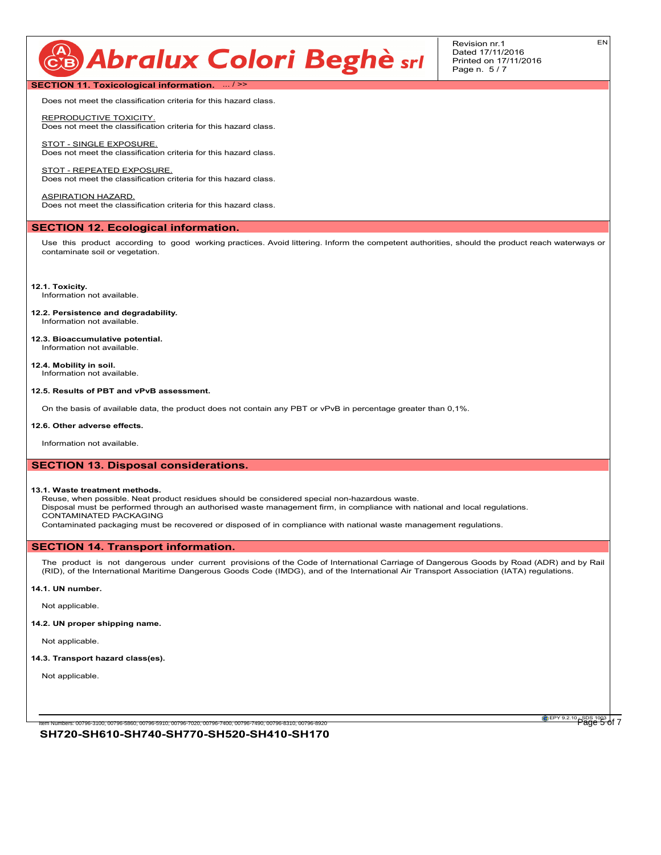# CB Abralux Colori Beghè sri

Revision nr.1 Dated 17/11/2016 Printed on 17/11/2016 Page n. 5 / 7

EN

**SECTION 11. Toxicological information.** ... / >>

Does not meet the classification criteria for this hazard class.

REPRODUCTIVE TOXICITY. Does not meet the classification criteria for this hazard class.

STOT - SINGLE EXPOSURE. Does not meet the classification criteria for this hazard class.

STOT - REPEATED EXPOSURE Does not meet the classification criteria for this hazard class.

ASPIRATION HAZARD. Does not meet the classification criteria for this hazard class.

#### **SECTION 12. Ecological information.**

Use this product according to good working practices. Avoid littering. Inform the competent authorities, should the product reach waterways or contaminate soil or vegetation.

**12.1. Toxicity.** Information not available.

- **12.2. Persistence and degradability.** Information not available.
- **12.3. Bioaccumulative potential.** Information not available.
- **12.4. Mobility in soil.** Information not available.

## **12.5. Results of PBT and vPvB assessment.**

On the basis of available data, the product does not contain any PBT or vPvB in percentage greater than 0,1%.

#### **12.6. Other adverse effects.**

Information not available.

#### **SECTION 13. Disposal considerations.**

#### **13.1. Waste treatment methods.**

Reuse, when possible. Neat product residues should be considered special non-hazardous waste.

Disposal must be performed through an authorised waste management firm, in compliance with national and local regulations. CONTAMINATED PACKAGING

Contaminated packaging must be recovered or disposed of in compliance with national waste management regulations.

#### **SECTION 14. Transport information.**

The product is not dangerous under current provisions of the Code of International Carriage of Dangerous Goods by Road (ADR) and by Rail (RID), of the International Maritime Dangerous Goods Code (IMDG), and of the International Air Transport Association (IATA) regulations.

#### **14.1. UN number.**

Not applicable.

#### **14.2. UN proper shipping name.**

Not applicable.

#### **14.3. Transport hazard class(es).**

Not applicable.

**SH720-SH610-SH740-SH770-SH520-SH410-SH170** Item Numbers: 00796-3100, 00796-5860, 00796-5910, 00796-7020, 00796-7400, 00796-7490, 00796-8310, 00796-8920 Page 5 of 7

**EPY 9.2.10** SDS 1003 of 7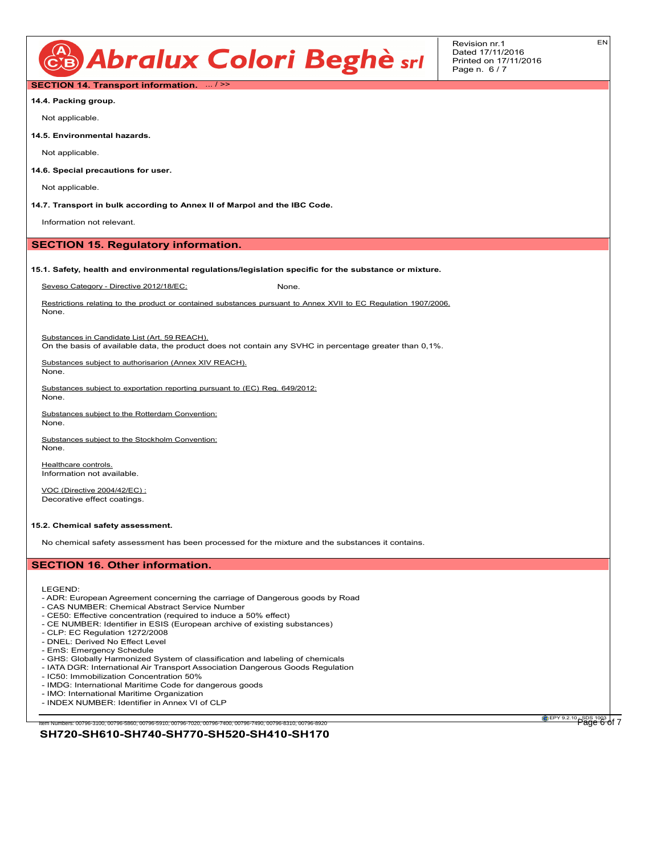

EN

# **SECTION 14. Transport information.** ... / >>

**14.4. Packing group.**

Not applicable.

**14.5. Environmental hazards.**

Not applicable.

**14.6. Special precautions for user.**

Not applicable.

**14.7. Transport in bulk according to Annex II of Marpol and the IBC Code.**

Information not relevant.

#### **SECTION 15. Regulatory information.**

#### **15.1. Safety, health and environmental regulations/legislation specific for the substance or mixture.**

Seveso Category - Directive 2012/18/EC: None.

Restrictions relating to the product or contained substances pursuant to Annex XVII to EC Regulation 1907/2006. None.

Substances in Candidate List (Art. 59 REACH).

On the basis of available data, the product does not contain any SVHC in percentage greater than 0,1%.

Substances subject to authorisarion (Annex XIV REACH). None.

Substances subject to exportation reporting pursuant to (EC) Reg. 649/2012:

Substances subject to the Rotterdam Convention:

Substances subject to the Stockholm Convention: None.

Healthcare controls. Information not available.

VOC (Directive 2004/42/EC) : Decorative effect coatings.

#### **15.2. Chemical safety assessment.**

No chemical safety assessment has been processed for the mixture and the substances it contains.

### **SECTION 16. Other information.**

LEGEND:

None.

None.

- ADR: European Agreement concerning the carriage of Dangerous goods by Road
- CAS NUMBER: Chemical Abstract Service Number
- CE50: Effective concentration (required to induce a 50% effect)
- CE NUMBER: Identifier in ESIS (European archive of existing substances)
- CLP: EC Regulation 1272/2008 - DNEL: Derived No Effect Level
- EmS: Emergency Schedule
- 
- GHS: Globally Harmonized System of classification and labeling of chemicals - IATA DGR: International Air Transport Association Dangerous Goods Regulation
- IC50: Immobilization Concentration 50%
- 
- IMDG: International Maritime Code for dangerous goods - IMO: International Maritime Organization
- INDEX NUMBER: Identifier in Annex VI of CLP
- 

**EPY 9.2.10** SDS 1003 of 7

#### **SH720-SH610-SH740-SH770-SH520-SH410-SH170** .<br>Item Numbers: 00796-3100, 00796-5860, 00796-5910, 00796-7020, 00796-7400, 00796-7490, 00796-8310, 00796-892